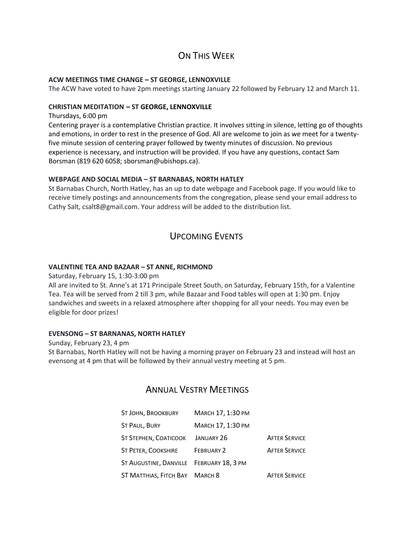# ON THIS WEEK

### **ACW MEETINGS TIME CHANGE – ST GEORGE, LENNOXVILLE**

The ACW have voted to have 2pm meetings starting January 22 followed by February 12 and March 11.

### **CHRISTIAN MEDITATION – ST GEORGE, LENNOXVILLE**

Thursdays, 6:00 pm

Centering prayer is a contemplative Christian practice. It involves sitting in silence, letting go of thoughts and emotions, in order to rest in the presence of God. All are welcome to join as we meet for a twentyfive minute session of centering prayer followed by twenty minutes of discussion. No previous experience is necessary, and instruction will be provided. If you have any questions, contact Sam Borsman (819 620 6058; sborsman@ubishops.ca).

### **WEBPAGE AND SOCIAL MEDIA – ST BARNABAS, NORTH HATLEY**

St Barnabas Church, North Hatley, has an up to date webpage and Facebook page. If you would like to receive timely postings and announcements from the congregation, please send your email address to Cathy Salt, csalt8@gmail.com. Your address will be added to the distribution list.

## UPCOMING EVENTS

### **VALENTINE TEA AND BAZAAR – ST ANNE, RICHMOND**

Saturday, February 15, 1:30-3:00 pm

All are invited to St. Anne's at 171 Principale Street South, on Saturday, February 15th, for a Valentine Tea. Tea will be served from 2 till 3 pm, while Bazaar and Food tables will open at 1:30 pm. Enjoy sandwiches and sweets in a relaxed atmosphere after shopping for all your needs. You may even be eligible for door prizes!

#### **EVENSONG – ST BARNANAS, NORTH HATLEY**

Sunday, February 23, 4 pm St Barnabas, North Hatley will not be having a morning prayer on February 23 and instead will host an evensong at 4 pm that will be followed by their annual vestry meeting at 5 pm.

### ANNUAL VESTRY MEETINGS

| ST JOHN, BROOKBURY                       | MARCH 17, 1:30 PM |                      |
|------------------------------------------|-------------------|----------------------|
| ST PAUL, BURY                            | MARCH 17, 1:30 PM |                      |
| ST STEPHEN, COATICOOK JANUARY 26         |                   | <b>AFTER SERVICE</b> |
| <b>ST PETER, COOKSHIRE</b>               | FEBRUARY 2        | <b>AFTER SERVICE</b> |
| ST AUGUSTINE, DANVILLE FEBRUARY 18, 3 PM |                   |                      |
| ST MATTHIAS, FITCH BAY MARCH 8           |                   | <b>AFTER SERVICE</b> |